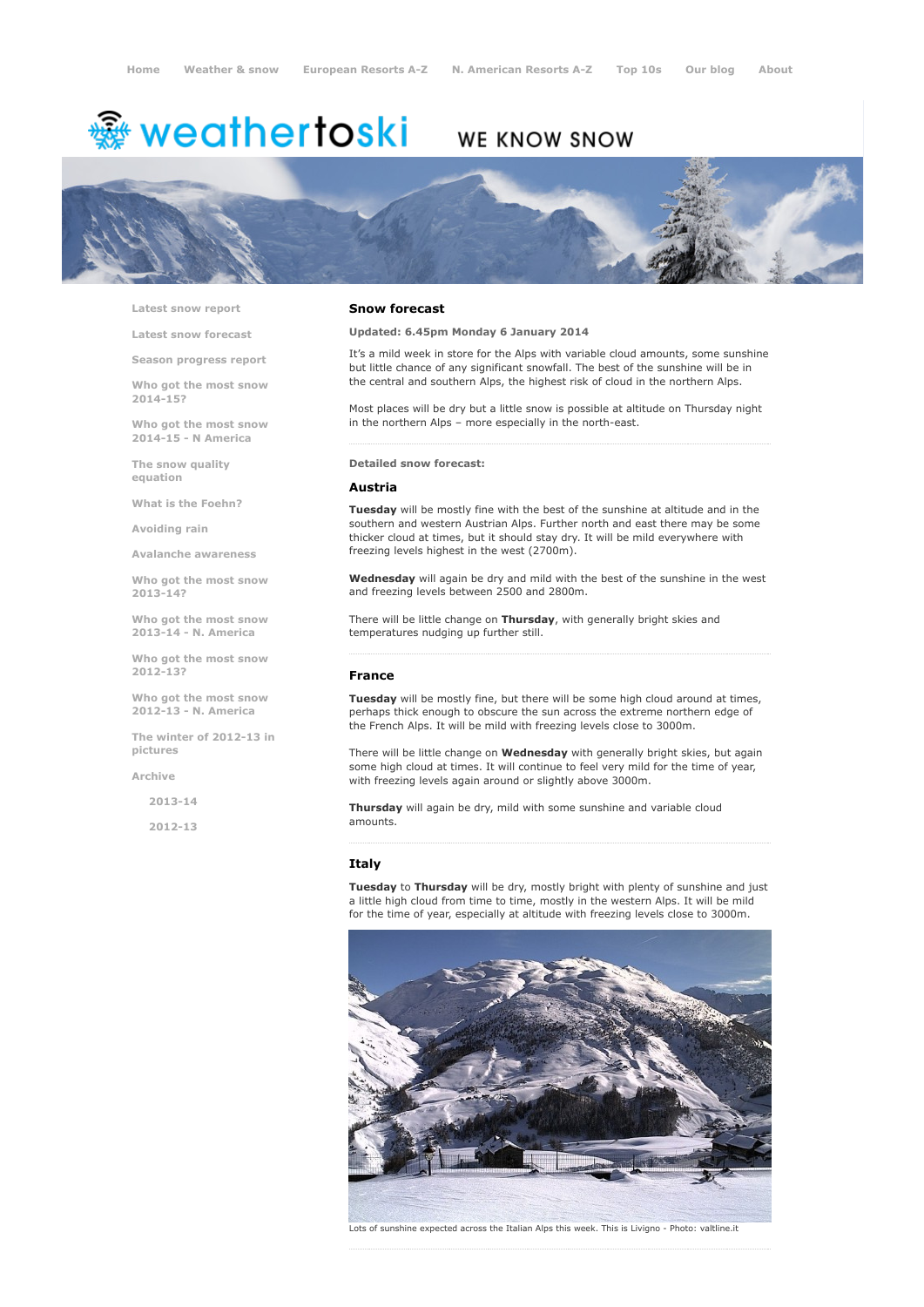# <del>鑾</del> weathertoski

## WE KNOW SNOW



Latest snow [report](http://www.weathertoski.co.uk/weather-snow/latest-snow-report/)

Latest snow [forecast](http://www.weathertoski.co.uk/weather-snow/latest-snow-forecast/)

Season [progress](http://www.weathertoski.co.uk/weather-snow/season-progress-report/) report

Who got the most snow 2014-15?

Who got the most snow 2014-15 - N America

The snow quality [equation](http://www.weathertoski.co.uk/weather-snow/the-snow-quality-equation/)

What is the [Foehn?](http://www.weathertoski.co.uk/weather-snow/what-is-the-foehn/)

[Avoiding](http://www.weathertoski.co.uk/weather-snow/avoiding-rain/) rain

Avalanche [awareness](http://www.weathertoski.co.uk/weather-snow/avalanche-awareness/)

Who got the most snow 2013-14?

Who got the most snow 2013-14 - N. America

Who got the most snow 2012-13?

Who got the most snow 2012-13 - N. America

The winter of 2012-13 in pictures

[Archive](http://www.weathertoski.co.uk/weather-snow/archive/)

2013-14

2012-13

#### Snow forecast

#### Updated: 6.45pm Monday 6 January 2014

It's a mild week in store for the Alps with variable cloud amounts, some sunshine but little chance of any significant snowfall. The best of the sunshine will be in the central and southern Alps, the highest risk of cloud in the northern Alps.

Most places will be dry but a little snow is possible at altitude on Thursday night in the northern Alps - more especially in the north-east.

#### Detailed snow forecast:

#### Austria

Tuesday will be mostly fine with the best of the sunshine at altitude and in the southern and western Austrian Alps. Further north and east there may be some thicker cloud at times, but it should stay dry. It will be mild everywhere with freezing levels highest in the west (2700m).

Wednesday will again be dry and mild with the best of the sunshine in the west and freezing levels between 2500 and 2800m.

There will be little change on Thursday, with generally bright skies and temperatures nudging up further still.

#### France

Tuesday will be mostly fine, but there will be some high cloud around at times, perhaps thick enough to obscure the sun across the extreme northern edge of the French Alps. It will be mild with freezing levels close to 3000m.

There will be little change on Wednesday with generally bright skies, but again some high cloud at times. It will continue to feel very mild for the time of year, with freezing levels again around or slightly above 3000m.

Thursday will again be dry, mild with some sunshine and variable cloud amounts.

#### **Italy**

Tuesday to Thursday will be dry, mostly bright with plenty of sunshine and just a little high cloud from time to time, mostly in the western Alps. It will be mild for the time of year, especially at altitude with freezing levels close to 3000m.



Lots of sunshine expected across the Italian Alps this week. This is Livigno - Photo: valtline.it